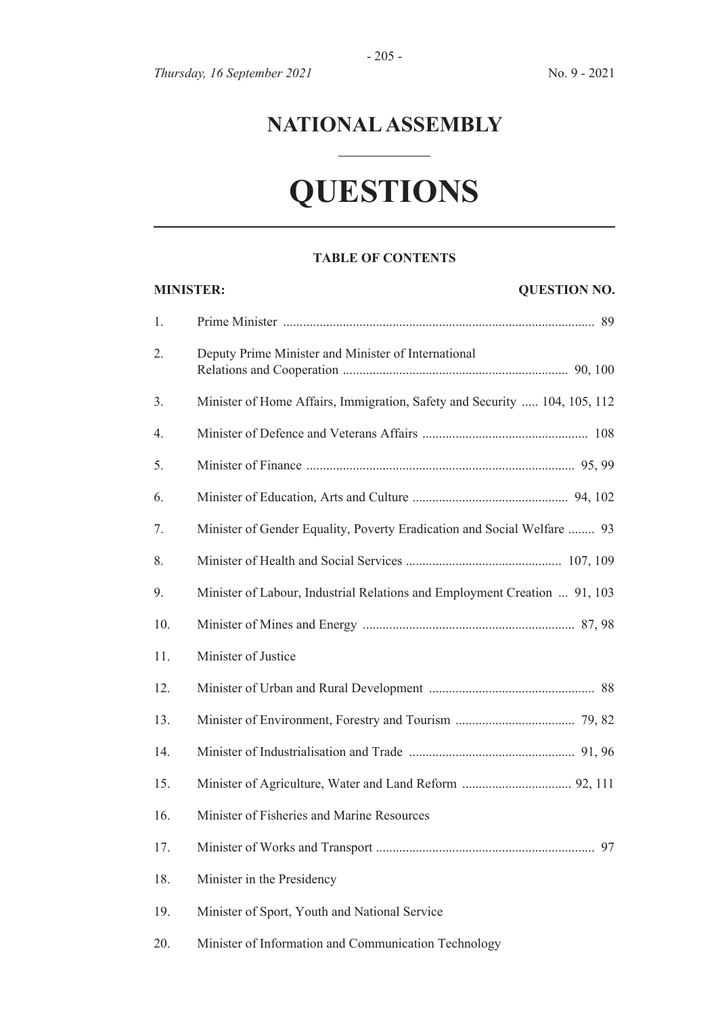# **NATIONAL ASSEMBLY**

- 205 -

# **QUESTIONS**

#### **TABLE OF CONTENTS**

| <b>MINISTER:</b><br><b>QUESTION NO.</b> |                                                                           |
|-----------------------------------------|---------------------------------------------------------------------------|
| 1.                                      |                                                                           |
| 2.                                      | Deputy Prime Minister and Minister of International                       |
| 3.                                      | Minister of Home Affairs, Immigration, Safety and Security  104, 105, 112 |
| 4.                                      |                                                                           |
| 5.                                      |                                                                           |
| 6.                                      |                                                                           |
| 7.                                      | Minister of Gender Equality, Poverty Eradication and Social Welfare  93   |
| 8.                                      |                                                                           |
| 9.                                      | Minister of Labour, Industrial Relations and Employment Creation  91, 103 |
| 10.                                     |                                                                           |
| 11.                                     | Minister of Justice                                                       |
| 12.                                     |                                                                           |
| 13.                                     |                                                                           |
| 14.                                     |                                                                           |
| 15.                                     |                                                                           |
| 16.                                     | Minister of Fisheries and Marine Resources                                |
| 17.                                     | 97                                                                        |
| 18.                                     | Minister in the Presidency                                                |
| 19.                                     | Minister of Sport, Youth and National Service                             |
| 20.                                     | Minister of Information and Communication Technology                      |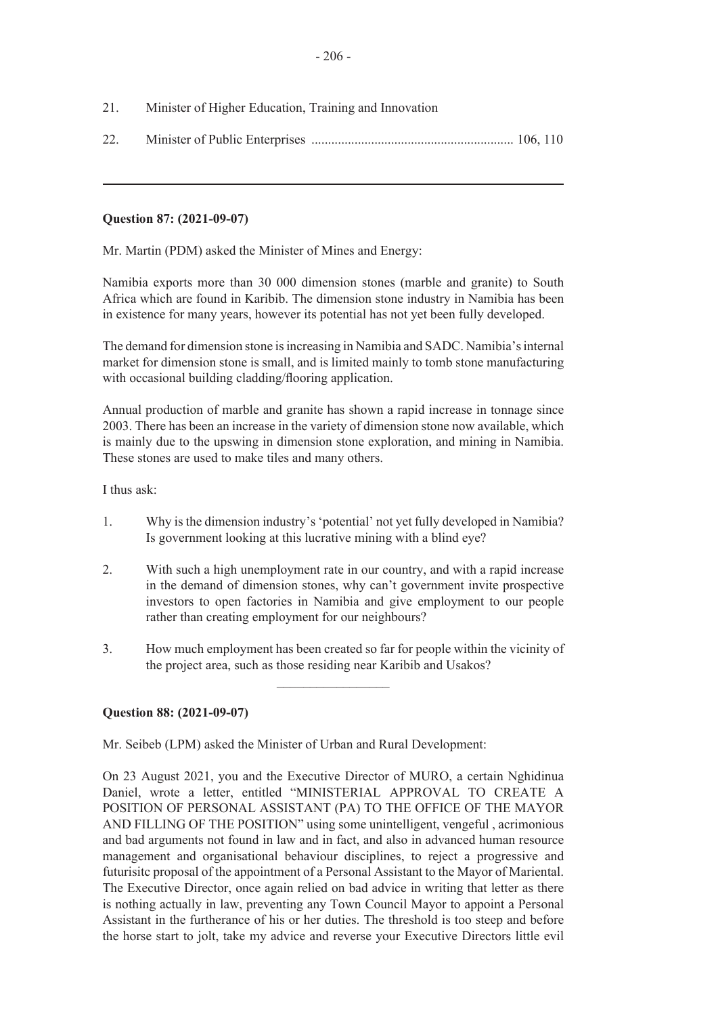- 21. Minister of Higher Education, Training and Innovation
- 22. Minister of Public Enterprises ............................................................. 106, 110

# **Question 87: (2021-09-07)**

Mr. Martin (PDM) asked the Minister of Mines and Energy:

Namibia exports more than 30 000 dimension stones (marble and granite) to South Africa which are found in Karibib. The dimension stone industry in Namibia has been in existence for many years, however its potential has not yet been fully developed.

The demand for dimension stone is increasing in Namibia and SADC. Namibia's internal market for dimension stone is small, and is limited mainly to tomb stone manufacturing with occasional building cladding/flooring application.

Annual production of marble and granite has shown a rapid increase in tonnage since 2003. There has been an increase in the variety of dimension stone now available, which is mainly due to the upswing in dimension stone exploration, and mining in Namibia. These stones are used to make tiles and many others.

I thus ask:

- 1. Why is the dimension industry's 'potential' not yet fully developed in Namibia? Is government looking at this lucrative mining with a blind eye?
- 2. With such a high unemployment rate in our country, and with a rapid increase in the demand of dimension stones, why can't government invite prospective investors to open factories in Namibia and give employment to our people rather than creating employment for our neighbours?
- 3. How much employment has been created so far for people within the vicinity of the project area, such as those residing near Karibib and Usakos?

 $\frac{1}{2}$ 

# **Question 88: (2021-09-07)**

Mr. Seibeb (LPM) asked the Minister of Urban and Rural Development:

On 23 August 2021, you and the Executive Director of MURO, a certain Nghidinua Daniel, wrote a letter, entitled "MINISTERIAL APPROVAL TO CREATE A POSITION OF PERSONAL ASSISTANT (PA) TO THE OFFICE OF THE MAYOR AND FILLING OF THE POSITION" using some unintelligent, vengeful , acrimonious and bad arguments not found in law and in fact, and also in advanced human resource management and organisational behaviour disciplines, to reject a progressive and futurisitc proposal of the appointment of a Personal Assistant to the Mayor of Mariental. The Executive Director, once again relied on bad advice in writing that letter as there is nothing actually in law, preventing any Town Council Mayor to appoint a Personal Assistant in the furtherance of his or her duties. The threshold is too steep and before the horse start to jolt, take my advice and reverse your Executive Directors little evil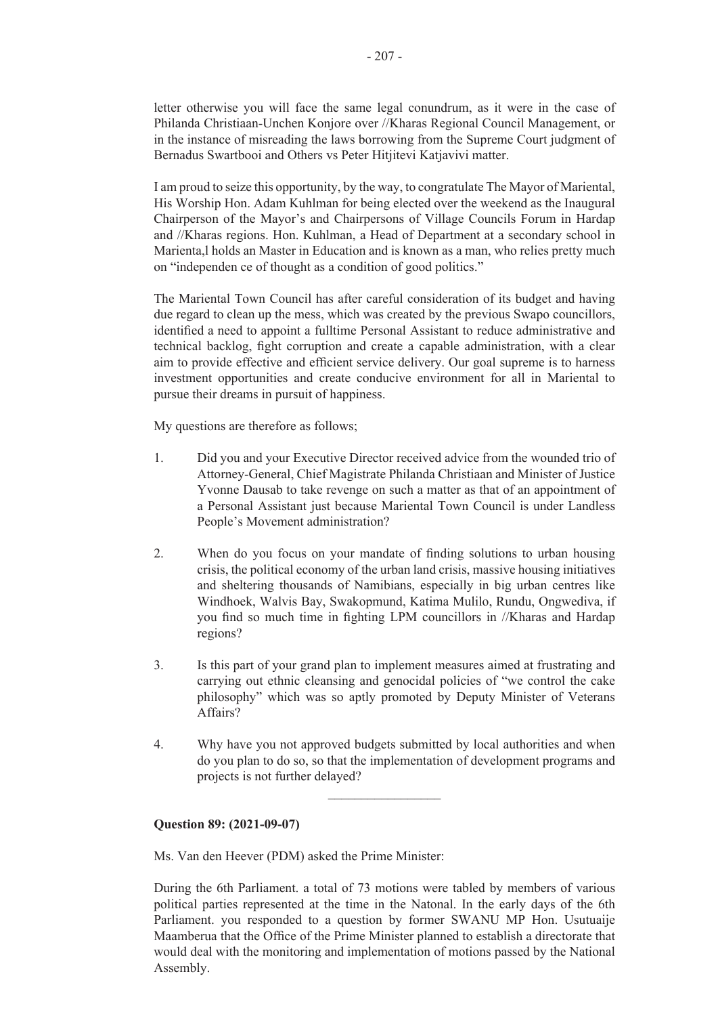letter otherwise you will face the same legal conundrum, as it were in the case of Philanda Christiaan-Unchen Konjore over //Kharas Regional Council Management, or in the instance of misreading the laws borrowing from the Supreme Court judgment of Bernadus Swartbooi and Others vs Peter Hitjitevi Katjavivi matter.

I am proud to seize this opportunity, by the way, to congratulate The Mayor of Mariental, His Worship Hon. Adam Kuhlman for being elected over the weekend as the Inaugural Chairperson of the Mayor's and Chairpersons of Village Councils Forum in Hardap and //Kharas regions. Hon. Kuhlman, a Head of Department at a secondary school in Marienta,l holds an Master in Education and is known as a man, who relies pretty much on "independen ce of thought as a condition of good politics."

The Mariental Town Council has after careful consideration of its budget and having due regard to clean up the mess, which was created by the previous Swapo councillors, identified a need to appoint a fulltime Personal Assistant to reduce administrative and technical backlog, fight corruption and create a capable administration, with a clear aim to provide effective and efficient service delivery. Our goal supreme is to harness investment opportunities and create conducive environment for all in Mariental to pursue their dreams in pursuit of happiness.

My questions are therefore as follows;

- 1. Did you and your Executive Director received advice from the wounded trio of Attorney-General, Chief Magistrate Philanda Christiaan and Minister of Justice Yvonne Dausab to take revenge on such a matter as that of an appointment of a Personal Assistant just because Mariental Town Council is under Landless People's Movement administration?
- 2. When do you focus on your mandate of finding solutions to urban housing crisis, the political economy of the urban land crisis, massive housing initiatives and sheltering thousands of Namibians, especially in big urban centres like Windhoek, Walvis Bay, Swakopmund, Katima Mulilo, Rundu, Ongwediva, if you find so much time in fighting LPM councillors in //Kharas and Hardap regions?
- 3. Is this part of your grand plan to implement measures aimed at frustrating and carrying out ethnic cleansing and genocidal policies of "we control the cake philosophy" which was so aptly promoted by Deputy Minister of Veterans Affairs?
- 4. Why have you not approved budgets submitted by local authorities and when do you plan to do so, so that the implementation of development programs and projects is not further delayed?

 $\overline{\phantom{a}}$  , where  $\overline{\phantom{a}}$ 

### **Question 89: (2021-09-07)**

Ms. Van den Heever (PDM) asked the Prime Minister:

During the 6th Parliament. a total of 73 motions were tabled by members of various political parties represented at the time in the Natonal. In the early days of the 6th Parliament. you responded to a question by former SWANU MP Hon. Usutuaije Maamberua that the Office of the Prime Minister planned to establish a directorate that would deal with the monitoring and implementation of motions passed by the National Assembly.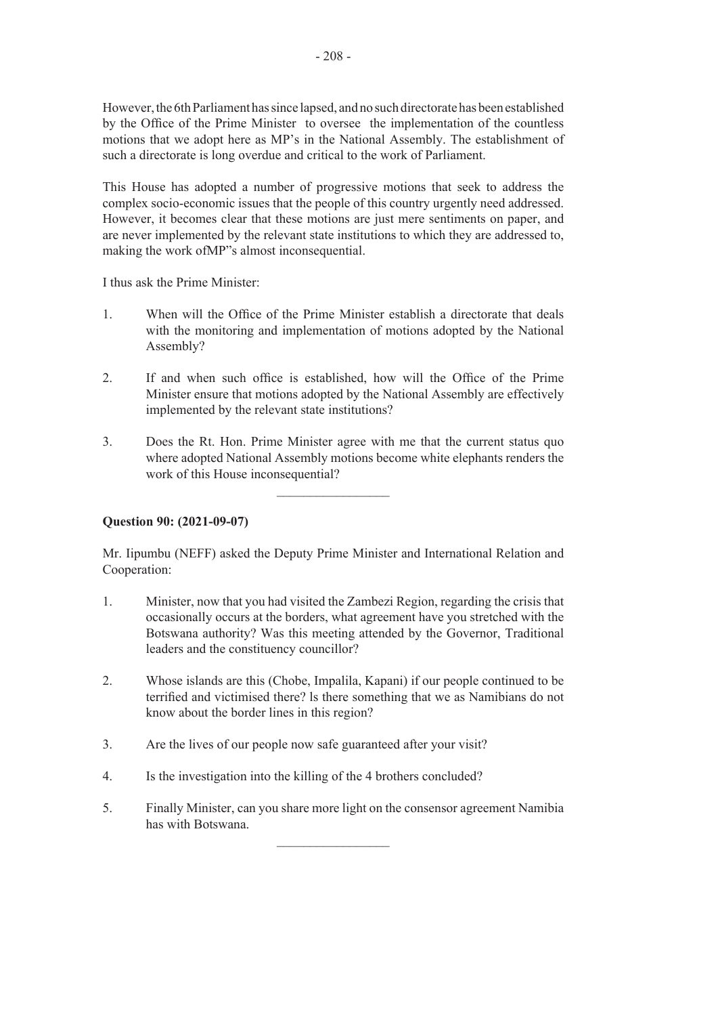However, the 6th Parliament has since lapsed, and no such directorate has been established by the Office of the Prime Minister to oversee the implementation of the countless motions that we adopt here as MP's in the National Assembly. The establishment of such a directorate is long overdue and critical to the work of Parliament.

This House has adopted a number of progressive motions that seek to address the complex socio-economic issues that the people of this country urgently need addressed. However, it becomes clear that these motions are just mere sentiments on paper, and are never implemented by the relevant state institutions to which they are addressed to, making the work ofMP"s almost inconsequential.

I thus ask the Prime Minister:

- 1. When will the Office of the Prime Minister establish a directorate that deals with the monitoring and implementation of motions adopted by the National Assembly?
- 2. If and when such office is established, how will the Office of the Prime Minister ensure that motions adopted by the National Assembly are effectively implemented by the relevant state institutions?
- 3. Does the Rt. Hon. Prime Minister agree with me that the current status quo where adopted National Assembly motions become white elephants renders the work of this House inconsequential?

 $\frac{1}{2}$  ,  $\frac{1}{2}$  ,  $\frac{1}{2}$  ,  $\frac{1}{2}$  ,  $\frac{1}{2}$  ,  $\frac{1}{2}$  ,  $\frac{1}{2}$  ,  $\frac{1}{2}$  ,  $\frac{1}{2}$  ,  $\frac{1}{2}$ 

# **Question 90: (2021-09-07)**

Mr. Iipumbu (NEFF) asked the Deputy Prime Minister and International Relation and Cooperation:

- 1. Minister, now that you had visited the Zambezi Region, regarding the crisis that occasionally occurs at the borders, what agreement have you stretched with the Botswana authority? Was this meeting attended by the Governor, Traditional leaders and the constituency councillor?
- 2. Whose islands are this (Chobe, Impalila, Kapani) if our people continued to be terrified and victimised there? ls there something that we as Namibians do not know about the border lines in this region?
- 3. Are the lives of our people now safe guaranteed after your visit?
- 4. Is the investigation into the killing of the 4 brothers concluded?
- 5. Finally Minister, can you share more light on the consensor agreement Namibia has with Botswana.

 $\frac{1}{2}$  ,  $\frac{1}{2}$  ,  $\frac{1}{2}$  ,  $\frac{1}{2}$  ,  $\frac{1}{2}$  ,  $\frac{1}{2}$  ,  $\frac{1}{2}$  ,  $\frac{1}{2}$  ,  $\frac{1}{2}$  ,  $\frac{1}{2}$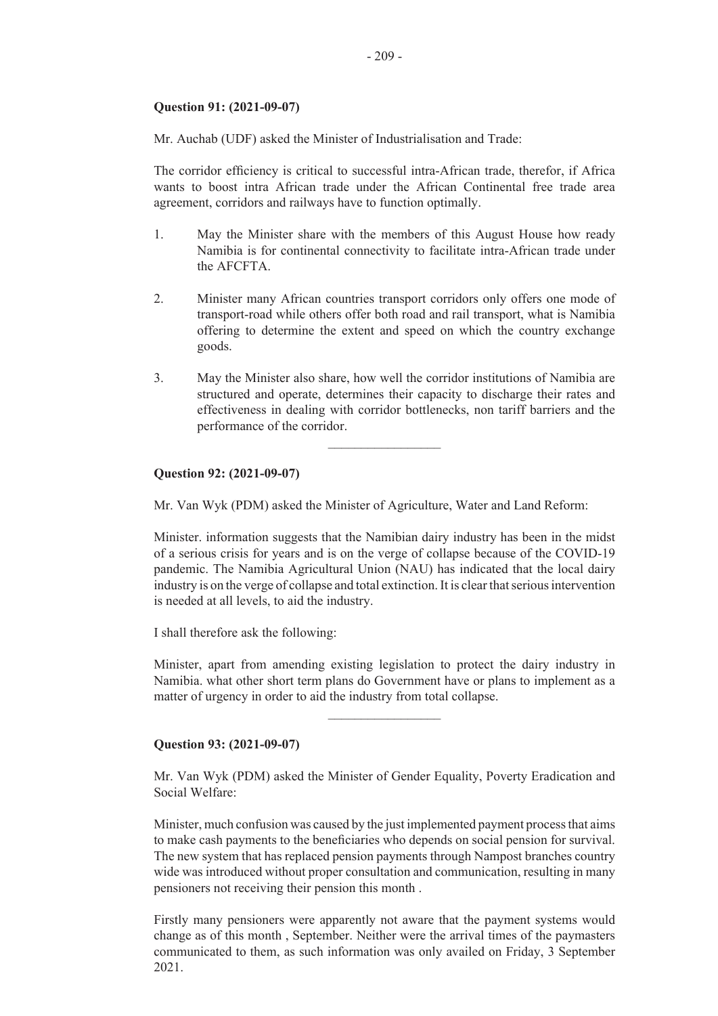# **Question 91: (2021-09-07)**

Mr. Auchab (UDF) asked the Minister of Industrialisation and Trade:

The corridor efficiency is critical to successful intra-African trade, therefor, if Africa wants to boost intra African trade under the African Continental free trade area agreement, corridors and railways have to function optimally.

- 1. May the Minister share with the members of this August House how ready Namibia is for continental connectivity to facilitate intra-African trade under the AFCFTA.
- 2. Minister many African countries transport corridors only offers one mode of transport-road while others offer both road and rail transport, what is Namibia offering to determine the extent and speed on which the country exchange goods.
- 3. May the Minister also share, how well the corridor institutions of Namibia are structured and operate, determines their capacity to discharge their rates and effectiveness in dealing with corridor bottlenecks, non tariff barriers and the performance of the corridor.

 $\overline{\phantom{a}}$  , where  $\overline{\phantom{a}}$ 

# **Question 92: (2021-09-07)**

Mr. Van Wyk (PDM) asked the Minister of Agriculture, Water and Land Reform:

Minister. information suggests that the Namibian dairy industry has been in the midst of a serious crisis for years and is on the verge of collapse because of the COVID-19 pandemic. The Namibia Agricultural Union (NAU) has indicated that the local dairy industry is on the verge of collapse and total extinction. It is clear that serious intervention is needed at all levels, to aid the industry.

I shall therefore ask the following:

Minister, apart from amending existing legislation to protect the dairy industry in Namibia. what other short term plans do Government have or plans to implement as a matter of urgency in order to aid the industry from total collapse.

 $\frac{1}{2}$  ,  $\frac{1}{2}$  ,  $\frac{1}{2}$  ,  $\frac{1}{2}$  ,  $\frac{1}{2}$  ,  $\frac{1}{2}$  ,  $\frac{1}{2}$  ,  $\frac{1}{2}$  ,  $\frac{1}{2}$ 

#### **Question 93: (2021-09-07)**

Mr. Van Wyk (PDM) asked the Minister of Gender Equality, Poverty Eradication and Social Welfare:

Minister, much confusion was caused by the just implemented payment process that aims to make cash payments to the beneficiaries who depends on social pension for survival. The new system that has replaced pension payments through Nampost branches country wide was introduced without proper consultation and communication, resulting in many pensioners not receiving their pension this month .

Firstly many pensioners were apparently not aware that the payment systems would change as of this month , September. Neither were the arrival times of the paymasters communicated to them, as such information was only availed on Friday, 3 September 2021.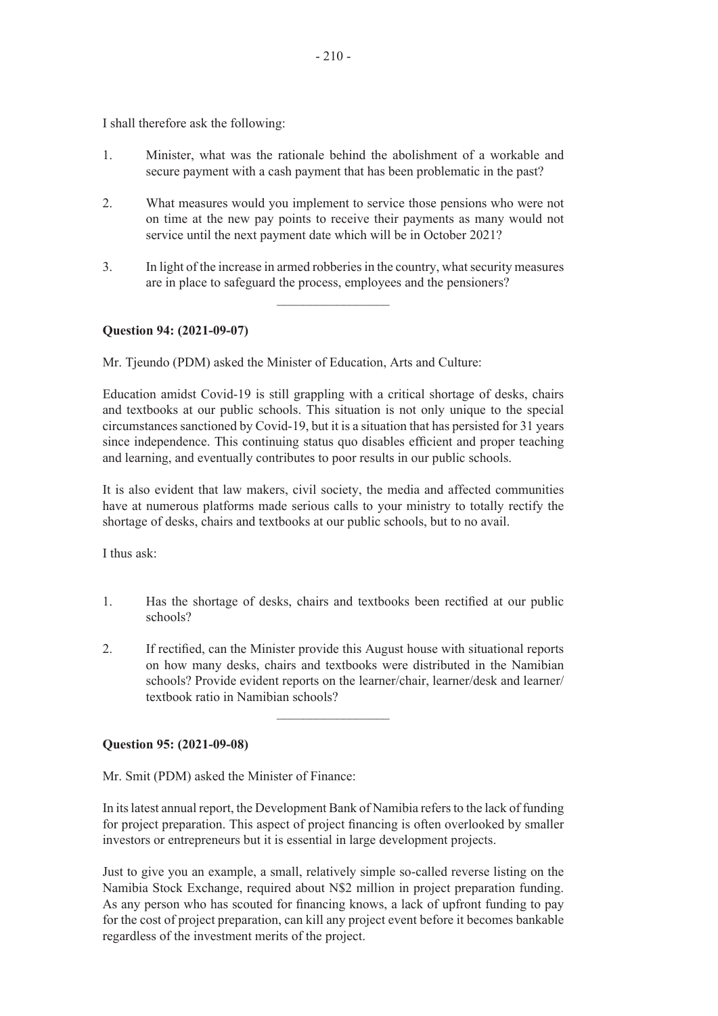I shall therefore ask the following:

- 1. Minister, what was the rationale behind the abolishment of a workable and secure payment with a cash payment that has been problematic in the past?
- 2. What measures would you implement to service those pensions who were not on time at the new pay points to receive their payments as many would not service until the next payment date which will be in October 2021?
- 3. In light of the increase in armed robberies in the country, what security measures are in place to safeguard the process, employees and the pensioners?

 $\frac{1}{2}$ 

# **Question 94: (2021-09-07)**

Mr. Tjeundo (PDM) asked the Minister of Education, Arts and Culture:

Education amidst Covid-19 is still grappling with a critical shortage of desks, chairs and textbooks at our public schools. This situation is not only unique to the special circumstances sanctioned by Covid-19, but it is a situation that has persisted for 31 years since independence. This continuing status quo disables efficient and proper teaching and learning, and eventually contributes to poor results in our public schools.

It is also evident that law makers, civil society, the media and affected communities have at numerous platforms made serious calls to your ministry to totally rectify the shortage of desks, chairs and textbooks at our public schools, but to no avail.

I thus ask:

- 1. Has the shortage of desks, chairs and textbooks been rectified at our public schools?
- 2. If rectified, can the Minister provide this August house with situational reports on how many desks, chairs and textbooks were distributed in the Namibian schools? Provide evident reports on the learner/chair, learner/desk and learner/ textbook ratio in Namibian schools?

 $\frac{1}{2}$  ,  $\frac{1}{2}$  ,  $\frac{1}{2}$  ,  $\frac{1}{2}$  ,  $\frac{1}{2}$  ,  $\frac{1}{2}$  ,  $\frac{1}{2}$  ,  $\frac{1}{2}$  ,  $\frac{1}{2}$  ,  $\frac{1}{2}$ 

#### **Question 95: (2021-09-08)**

Mr. Smit (PDM) asked the Minister of Finance:

In its latest annual report, the Development Bank of Namibia refers to the lack of funding for project preparation. This aspect of project financing is often overlooked by smaller investors or entrepreneurs but it is essential in large development projects.

Just to give you an example, a small, relatively simple so-called reverse listing on the Namibia Stock Exchange, required about N\$2 million in project preparation funding. As any person who has scouted for financing knows, a lack of upfront funding to pay for the cost of project preparation, can kill any project event before it becomes bankable regardless of the investment merits of the project.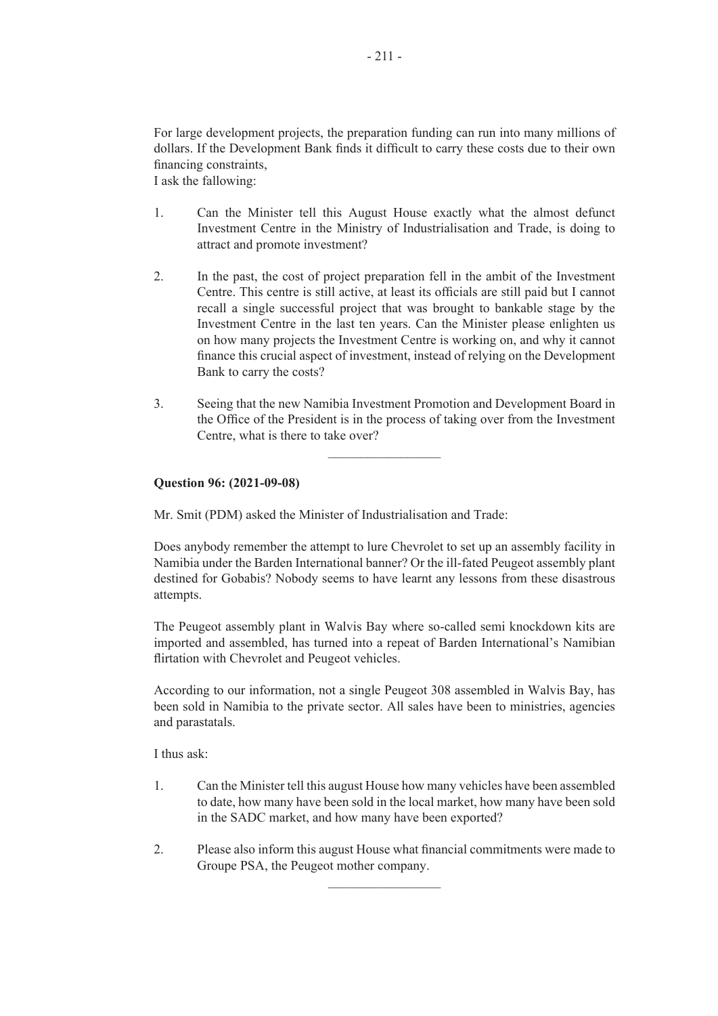For large development projects, the preparation funding can run into many millions of dollars. If the Development Bank finds it difficult to carry these costs due to their own financing constraints,

I ask the fallowing:

- 1. Can the Minister tell this August House exactly what the almost defunct Investment Centre in the Ministry of Industrialisation and Trade, is doing to attract and promote investment?
- 2. In the past, the cost of project preparation fell in the ambit of the Investment Centre. This centre is still active, at least its officials are still paid but I cannot recall a single successful project that was brought to bankable stage by the Investment Centre in the last ten years. Can the Minister please enlighten us on how many projects the Investment Centre is working on, and why it cannot finance this crucial aspect of investment, instead of relying on the Development Bank to carry the costs?
- 3. Seeing that the new Namibia Investment Promotion and Development Board in the Office of the President is in the process of taking over from the Investment Centre, what is there to take over?

 $\overline{\phantom{a}}$  , where  $\overline{\phantom{a}}$ 

# **Question 96: (2021-09-08)**

Mr. Smit (PDM) asked the Minister of Industrialisation and Trade:

Does anybody remember the attempt to lure Chevrolet to set up an assembly facility in Namibia under the Barden International banner? Or the ill-fated Peugeot assembly plant destined for Gobabis? Nobody seems to have learnt any lessons from these disastrous attempts.

The Peugeot assembly plant in Walvis Bay where so-called semi knockdown kits are imported and assembled, has turned into a repeat of Barden International's Namibian flirtation with Chevrolet and Peugeot vehicles.

According to our information, not a single Peugeot 308 assembled in Walvis Bay, has been sold in Namibia to the private sector. All sales have been to ministries, agencies and parastatals.

I thus ask:

- 1. Can the Minister tell this august House how many vehicles have been assembled to date, how many have been sold in the local market, how many have been sold in the SADC market, and how many have been exported?
- 2. Please also inform this august House what financial commitments were made to Groupe PSA, the Peugeot mother company.

 $\overline{\phantom{a}}$  , where  $\overline{\phantom{a}}$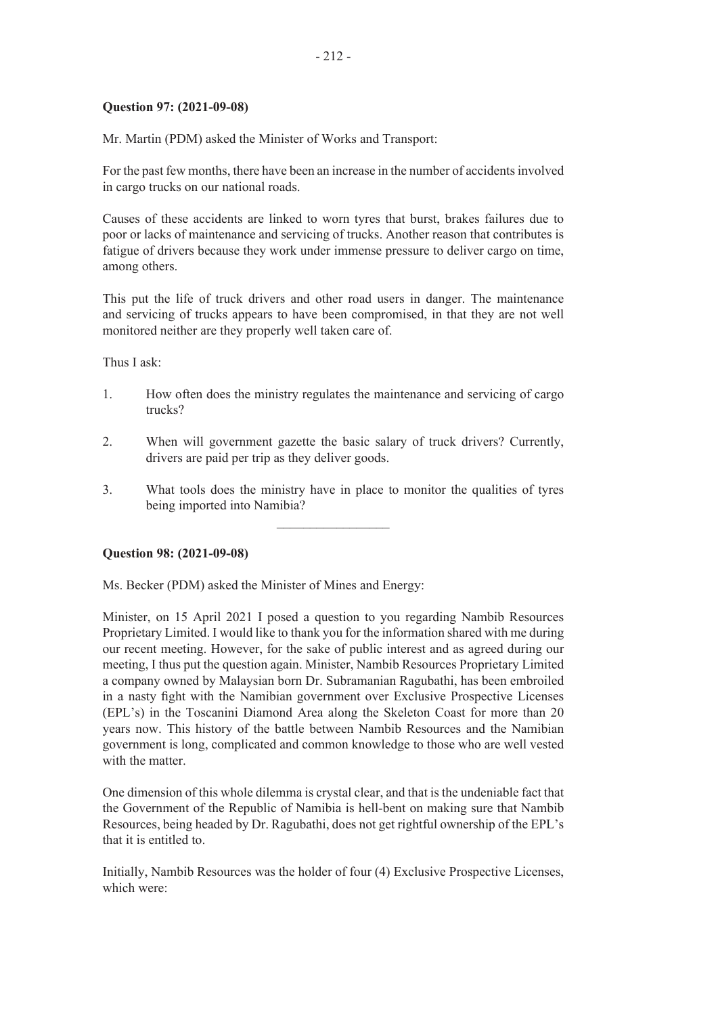## **Question 97: (2021-09-08)**

Mr. Martin (PDM) asked the Minister of Works and Transport:

For the past few months, there have been an increase in the number of accidents involved in cargo trucks on our national roads.

Causes of these accidents are linked to worn tyres that burst, brakes failures due to poor or lacks of maintenance and servicing of trucks. Another reason that contributes is fatigue of drivers because they work under immense pressure to deliver cargo on time, among others.

This put the life of truck drivers and other road users in danger. The maintenance and servicing of trucks appears to have been compromised, in that they are not well monitored neither are they properly well taken care of.

Thus I ask:

- 1. How often does the ministry regulates the maintenance and servicing of cargo trucks?
- 2. When will government gazette the basic salary of truck drivers? Currently, drivers are paid per trip as they deliver goods.
- 3. What tools does the ministry have in place to monitor the qualities of tyres being imported into Namibia?

 $\frac{1}{2}$  ,  $\frac{1}{2}$  ,  $\frac{1}{2}$  ,  $\frac{1}{2}$  ,  $\frac{1}{2}$  ,  $\frac{1}{2}$  ,  $\frac{1}{2}$  ,  $\frac{1}{2}$  ,  $\frac{1}{2}$  ,  $\frac{1}{2}$ 

#### **Question 98: (2021-09-08)**

Ms. Becker (PDM) asked the Minister of Mines and Energy:

Minister, on 15 April 2021 I posed a question to you regarding Nambib Resources Proprietary Limited. I would like to thank you for the information shared with me during our recent meeting. However, for the sake of public interest and as agreed during our meeting, I thus put the question again. Minister, Nambib Resources Proprietary Limited a company owned by Malaysian born Dr. Subramanian Ragubathi, has been embroiled in a nasty fight with the Namibian government over Exclusive Prospective Licenses (EPL's) in the Toscanini Diamond Area along the Skeleton Coast for more than 20 years now. This history of the battle between Nambib Resources and the Namibian government is long, complicated and common knowledge to those who are well vested with the matter

One dimension of this whole dilemma is crystal clear, and that is the undeniable fact that the Government of the Republic of Namibia is hell-bent on making sure that Nambib Resources, being headed by Dr. Ragubathi, does not get rightful ownership of the EPL's that it is entitled to.

Initially, Nambib Resources was the holder of four (4) Exclusive Prospective Licenses, which were: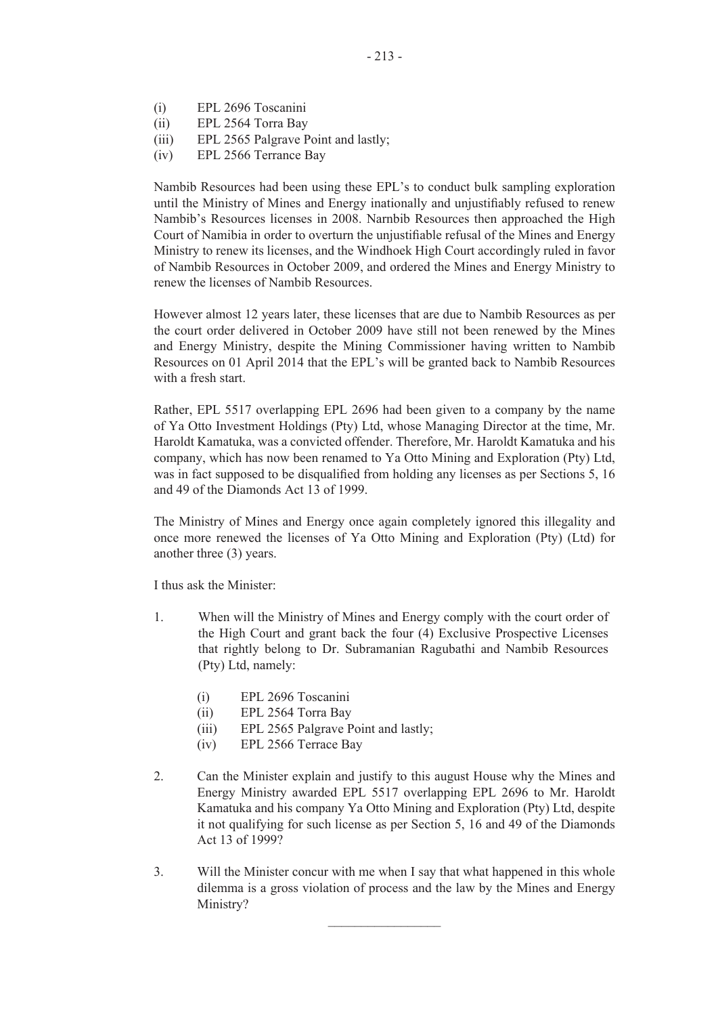- (i) EPL 2696 Toscanini
- (ii) EPL 2564 Torra Bay
- (iii) EPL 2565 Palgrave Point and lastly;
- (iv) EPL 2566 Terrance Bay

Nambib Resources had been using these EPL's to conduct bulk sampling exploration until the Ministry of Mines and Energy inationally and unjustifiably refused to renew Nambib's Resources licenses in 2008. Narnbib Resources then approached the High Court of Namibia in order to overturn the unjustifiable refusal of the Mines and Energy Ministry to renew its licenses, and the Windhoek High Court accordingly ruled in favor of Nambib Resources in October 2009, and ordered the Mines and Energy Ministry to renew the licenses of Nambib Resources.

However almost 12 years later, these licenses that are due to Nambib Resources as per the court order delivered in October 2009 have still not been renewed by the Mines and Energy Ministry, despite the Mining Commissioner having written to Nambib Resources on 01 April 2014 that the EPL's will be granted back to Nambib Resources with a fresh start.

Rather, EPL 5517 overlapping EPL 2696 had been given to a company by the name of Ya Otto Investment Holdings (Pty) Ltd, whose Managing Director at the time, Mr. Haroldt Kamatuka, was a convicted offender. Therefore, Mr. Haroldt Kamatuka and his company, which has now been renamed to Ya Otto Mining and Exploration (Pty) Ltd, was in fact supposed to be disqualified from holding any licenses as per Sections 5, 16 and 49 of the Diamonds Act 13 of 1999.

The Ministry of Mines and Energy once again completely ignored this illegality and once more renewed the licenses of Ya Otto Mining and Exploration (Pty) (Ltd) for another three (3) years.

I thus ask the Minister:

- 1. When will the Ministry of Mines and Energy comply with the court order of the High Court and grant back the four (4) Exclusive Prospective Licenses that rightly belong to Dr. Subramanian Ragubathi and Nambib Resources (Pty) Ltd, namely:
	- (i) EPL 2696 Toscanini
	- (ii) EPL 2564 Torra Bay
	- (iii) EPL 2565 Palgrave Point and lastly;
	- (iv) EPL 2566 Terrace Bay
- 2. Can the Minister explain and justify to this august House why the Mines and Energy Ministry awarded EPL 5517 overlapping EPL 2696 to Mr. Haroldt Kamatuka and his company Ya Otto Mining and Exploration (Pty) Ltd, despite it not qualifying for such license as per Section 5, 16 and 49 of the Diamonds Act 13 of 1999?
- 3. Will the Minister concur with me when I say that what happened in this whole dilemma is a gross violation of process and the law by the Mines and Energy Ministry?

 $\overline{\phantom{a}}$  , where  $\overline{\phantom{a}}$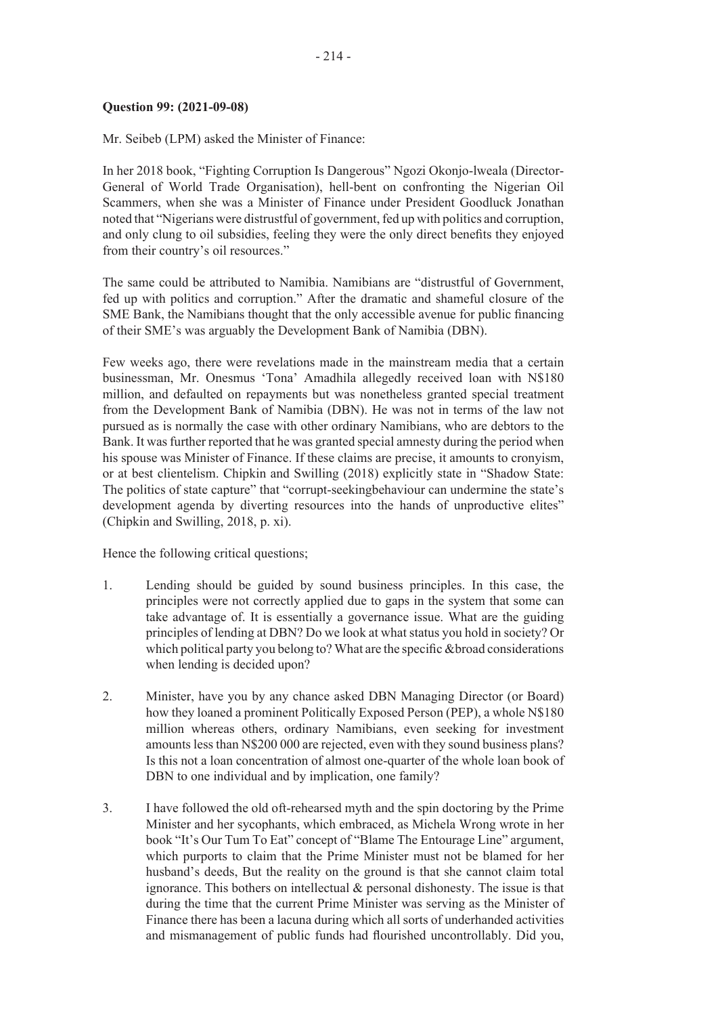## **Question 99: (2021-09-08)**

Mr. Seibeb (LPM) asked the Minister of Finance:

In her 2018 book, "Fighting Corruption Is Dangerous" Ngozi Okonjo-lweala (Director-General of World Trade Organisation), hell-bent on confronting the Nigerian Oil Scammers, when she was a Minister of Finance under President Goodluck Jonathan noted that "Nigerians were distrustful of government, fed up with politics and corruption, and only clung to oil subsidies, feeling they were the only direct benefits they enjoyed from their country's oil resources."

The same could be attributed to Namibia. Namibians are "distrustful of Government, fed up with politics and corruption." After the dramatic and shameful closure of the SME Bank, the Namibians thought that the only accessible avenue for public financing of their SME's was arguably the Development Bank of Namibia (DBN).

Few weeks ago, there were revelations made in the mainstream media that a certain businessman, Mr. Onesmus 'Tona' Amadhila allegedly received loan with N\$180 million, and defaulted on repayments but was nonetheless granted special treatment from the Development Bank of Namibia (DBN). He was not in terms of the law not pursued as is normally the case with other ordinary Namibians, who are debtors to the Bank. It was further reported that he was granted special amnesty during the period when his spouse was Minister of Finance. If these claims are precise, it amounts to cronyism, or at best clientelism. Chipkin and Swilling (2018) explicitly state in "Shadow State: The politics of state capture" that "corrupt-seekingbehaviour can undermine the state's development agenda by diverting resources into the hands of unproductive elites" (Chipkin and Swilling, 2018, p. xi).

Hence the following critical questions;

- 1. Lending should be guided by sound business principles. In this case, the principles were not correctly applied due to gaps in the system that some can take advantage of. It is essentially a governance issue. What are the guiding principles of lending at DBN? Do we look at what status you hold in society? Or which political party you belong to? What are the specific &broad considerations when lending is decided upon?
- 2. Minister, have you by any chance asked DBN Managing Director (or Board) how they loaned a prominent Politically Exposed Person (PEP), a whole N\$180 million whereas others, ordinary Namibians, even seeking for investment amounts less than N\$200 000 are rejected, even with they sound business plans? Is this not a loan concentration of almost one-quarter of the whole loan book of DBN to one individual and by implication, one family?
- 3. I have followed the old oft-rehearsed myth and the spin doctoring by the Prime Minister and her sycophants, which embraced, as Michela Wrong wrote in her book "It's Our Tum To Eat" concept of "Blame The Entourage Line" argument, which purports to claim that the Prime Minister must not be blamed for her husband's deeds, But the reality on the ground is that she cannot claim total ignorance. This bothers on intellectual & personal dishonesty. The issue is that during the time that the current Prime Minister was serving as the Minister of Finance there has been a lacuna during which all sorts of underhanded activities and mismanagement of public funds had flourished uncontrollably. Did you,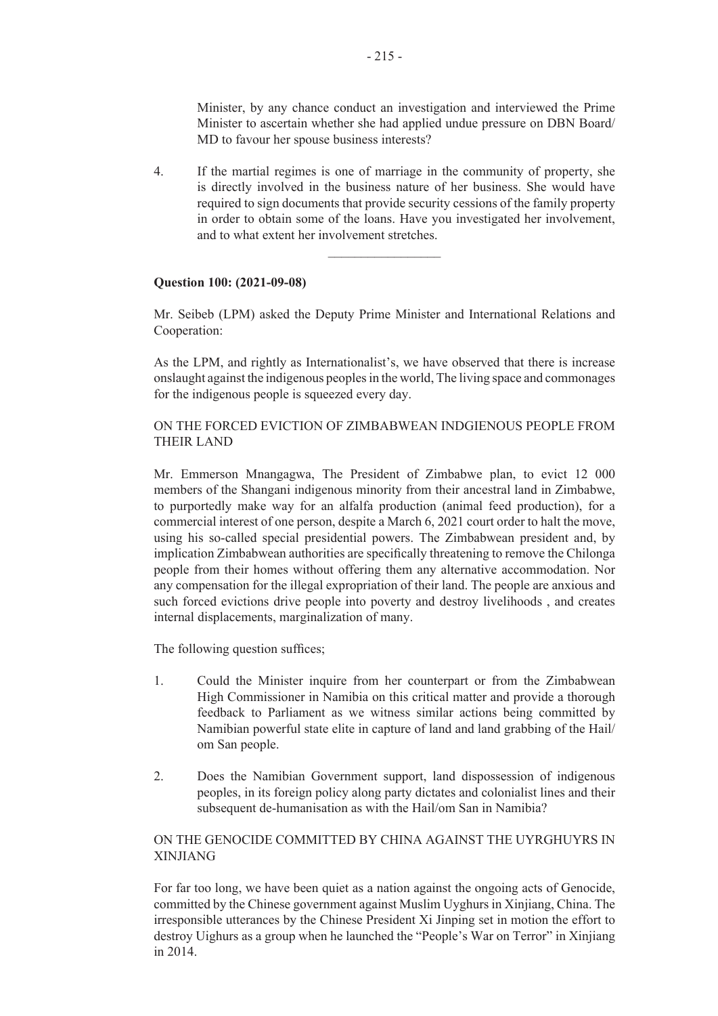Minister, by any chance conduct an investigation and interviewed the Prime Minister to ascertain whether she had applied undue pressure on DBN Board/ MD to favour her spouse business interests?

4. If the martial regimes is one of marriage in the community of property, she is directly involved in the business nature of her business. She would have required to sign documents that provide security cessions of the family property in order to obtain some of the loans. Have you investigated her involvement, and to what extent her involvement stretches.

 $\overline{\phantom{a}}$  , where  $\overline{\phantom{a}}$ 

#### **Question 100: (2021-09-08)**

Mr. Seibeb (LPM) asked the Deputy Prime Minister and International Relations and Cooperation:

As the LPM, and rightly as Internationalist's, we have observed that there is increase onslaught against the indigenous peoples in the world, The living space and commonages for the indigenous people is squeezed every day.

# ON THE FORCED EVICTION OF ZIMBABWEAN INDGIENOUS PEOPLE FROM THEIR LAND

Mr. Emmerson Mnangagwa, The President of Zimbabwe plan, to evict 12 000 members of the Shangani indigenous minority from their ancestral land in Zimbabwe, to purportedly make way for an alfalfa production (animal feed production), for a commercial interest of one person, despite a March 6, 2021 court order to halt the move, using his so-called special presidential powers. The Zimbabwean president and, by implication Zimbabwean authorities are specifically threatening to remove the Chilonga people from their homes without offering them any alternative accommodation. Nor any compensation for the illegal expropriation of their land. The people are anxious and such forced evictions drive people into poverty and destroy livelihoods , and creates internal displacements, marginalization of many.

The following question suffices;

- 1. Could the Minister inquire from her counterpart or from the Zimbabwean High Commissioner in Namibia on this critical matter and provide a thorough feedback to Parliament as we witness similar actions being committed by Namibian powerful state elite in capture of land and land grabbing of the Hail/ om San people.
- 2. Does the Namibian Government support, land dispossession of indigenous peoples, in its foreign policy along party dictates and colonialist lines and their subsequent de-humanisation as with the Hail/om San in Namibia?

# ON THE GENOCIDE COMMITTED BY CHINA AGAINST THE UYRGHUYRS IN XINJIANG

For far too long, we have been quiet as a nation against the ongoing acts of Genocide, committed by the Chinese government against Muslim Uyghurs in Xinjiang, China. The irresponsible utterances by the Chinese President Xi Jinping set in motion the effort to destroy Uighurs as a group when he launched the "People's War on Terror" in Xinjiang in 2014.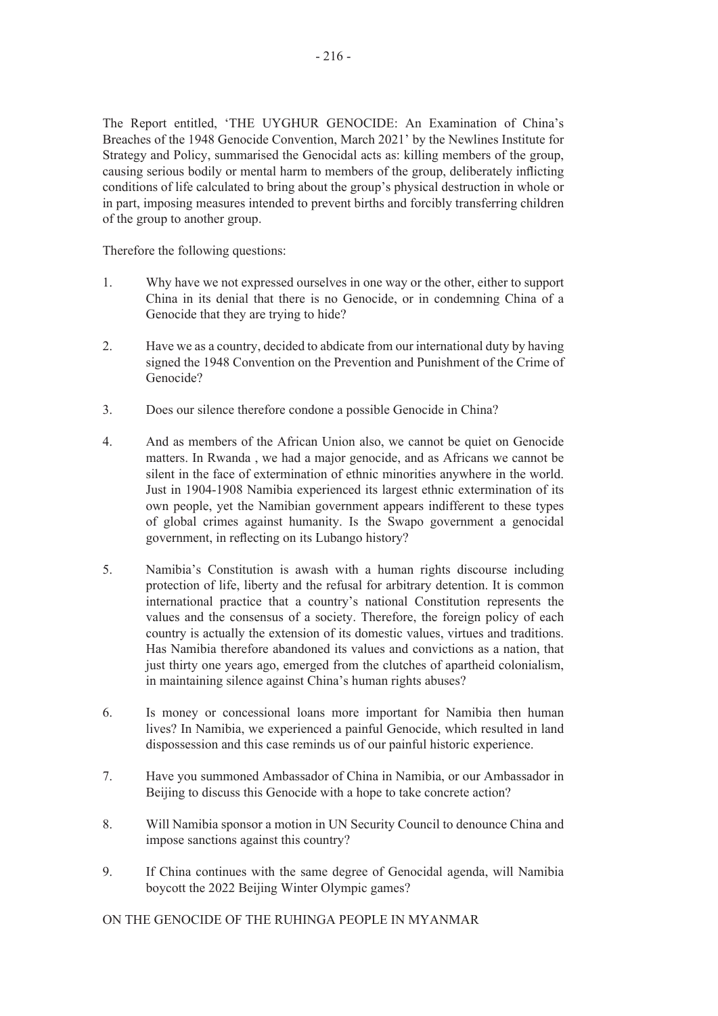The Report entitled, 'THE UYGHUR GENOCIDE: An Examination of China's Breaches of the 1948 Genocide Convention, March 2021' by the Newlines Institute for Strategy and Policy, summarised the Genocidal acts as: killing members of the group, causing serious bodily or mental harm to members of the group, deliberately inflicting conditions of life calculated to bring about the group's physical destruction in whole or in part, imposing measures intended to prevent births and forcibly transferring children of the group to another group.

Therefore the following questions:

- 1. Why have we not expressed ourselves in one way or the other, either to support China in its denial that there is no Genocide, or in condemning China of a Genocide that they are trying to hide?
- 2. Have we as a country, decided to abdicate from our international duty by having signed the 1948 Convention on the Prevention and Punishment of the Crime of Genocide?
- 3. Does our silence therefore condone a possible Genocide in China?
- 4. And as members of the African Union also, we cannot be quiet on Genocide matters. In Rwanda , we had a major genocide, and as Africans we cannot be silent in the face of extermination of ethnic minorities anywhere in the world. Just in 1904-1908 Namibia experienced its largest ethnic extermination of its own people, yet the Namibian government appears indifferent to these types of global crimes against humanity. Is the Swapo government a genocidal government, in reflecting on its Lubango history?
- 5. Namibia's Constitution is awash with a human rights discourse including protection of life, liberty and the refusal for arbitrary detention. It is common international practice that a country's national Constitution represents the values and the consensus of a society. Therefore, the foreign policy of each country is actually the extension of its domestic values, virtues and traditions. Has Namibia therefore abandoned its values and convictions as a nation, that just thirty one years ago, emerged from the clutches of apartheid colonialism, in maintaining silence against China's human rights abuses?
- 6. Is money or concessional loans more important for Namibia then human lives? In Namibia, we experienced a painful Genocide, which resulted in land dispossession and this case reminds us of our painful historic experience.
- 7. Have you summoned Ambassador of China in Namibia, or our Ambassador in Beijing to discuss this Genocide with a hope to take concrete action?
- 8. Will Namibia sponsor a motion in UN Security Council to denounce China and impose sanctions against this country?
- 9. If China continues with the same degree of Genocidal agenda, will Namibia boycott the 2022 Beijing Winter Olympic games?

ON THE GENOCIDE OF THE RUHINGA PEOPLE IN MYANMAR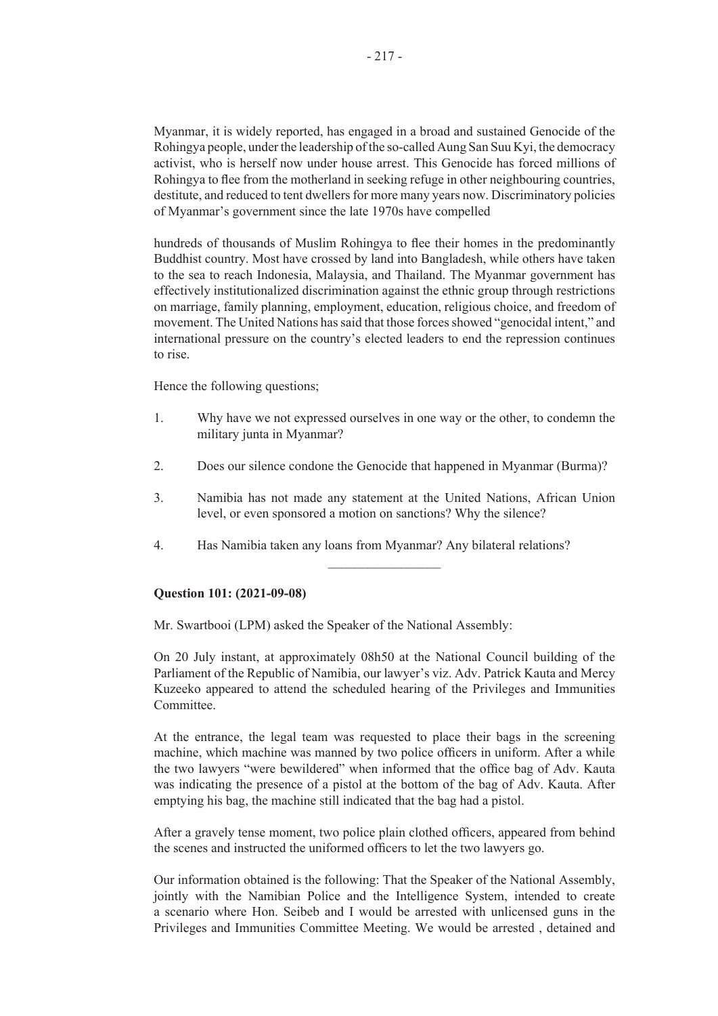Myanmar, it is widely reported, has engaged in a broad and sustained Genocide of the Rohingya people, under the leadership of the so-called Aung San Suu Kyi, the democracy activist, who is herself now under house arrest. This Genocide has forced millions of Rohingya to flee from the motherland in seeking refuge in other neighbouring countries, destitute, and reduced to tent dwellers for more many years now. Discriminatory policies of Myanmar's government since the late 1970s have compelled

hundreds of thousands of Muslim Rohingya to flee their homes in the predominantly Buddhist country. Most have crossed by land into Bangladesh, while others have taken to the sea to reach Indonesia, Malaysia, and Thailand. The Myanmar government has effectively institutionalized discrimination against the ethnic group through restrictions on marriage, family planning, employment, education, religious choice, and freedom of movement. The United Nations has said that those forces showed "genocidal intent," and international pressure on the country's elected leaders to end the repression continues to rise.

Hence the following questions;

- 1. Why have we not expressed ourselves in one way or the other, to condemn the military junta in Myanmar?
- 2. Does our silence condone the Genocide that happened in Myanmar (Burma)?
- 3. Namibia has not made any statement at the United Nations, African Union level, or even sponsored a motion on sanctions? Why the silence?

 $\frac{1}{2}$  ,  $\frac{1}{2}$  ,  $\frac{1}{2}$  ,  $\frac{1}{2}$  ,  $\frac{1}{2}$  ,  $\frac{1}{2}$  ,  $\frac{1}{2}$  ,  $\frac{1}{2}$  ,  $\frac{1}{2}$ 

4. Has Namibia taken any loans from Myanmar? Any bilateral relations?

#### **Question 101: (2021-09-08)**

Mr. Swartbooi (LPM) asked the Speaker of the National Assembly:

On 20 July instant, at approximately 08h50 at the National Council building of the Parliament of the Republic of Namibia, our lawyer's viz. Adv. Patrick Kauta and Mercy Kuzeeko appeared to attend the scheduled hearing of the Privileges and Immunities Committee.

At the entrance, the legal team was requested to place their bags in the screening machine, which machine was manned by two police officers in uniform. After a while the two lawyers "were bewildered" when informed that the office bag of Adv. Kauta was indicating the presence of a pistol at the bottom of the bag of Adv. Kauta. After emptying his bag, the machine still indicated that the bag had a pistol.

After a gravely tense moment, two police plain clothed officers, appeared from behind the scenes and instructed the uniformed officers to let the two lawyers go.

Our information obtained is the following: That the Speaker of the National Assembly, jointly with the Namibian Police and the Intelligence System, intended to create a scenario where Hon. Seibeb and I would be arrested with unlicensed guns in the Privileges and Immunities Committee Meeting. We would be arrested , detained and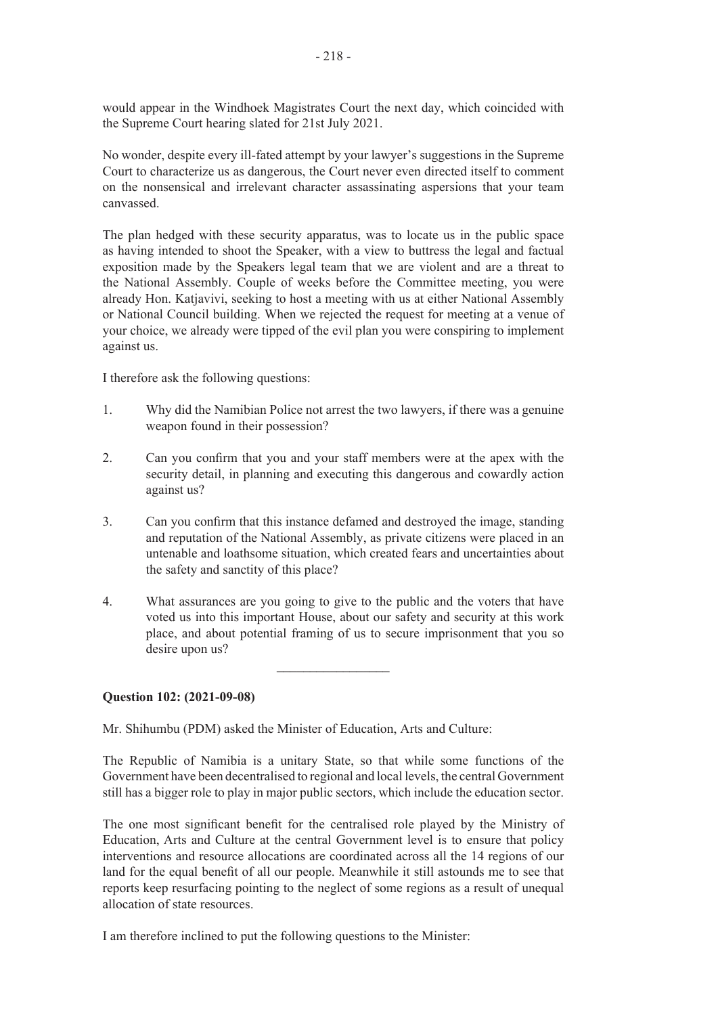would appear in the Windhoek Magistrates Court the next day, which coincided with the Supreme Court hearing slated for 21st July 2021.

No wonder, despite every ill-fated attempt by your lawyer's suggestions in the Supreme Court to characterize us as dangerous, the Court never even directed itself to comment on the nonsensical and irrelevant character assassinating aspersions that your team canvassed.

The plan hedged with these security apparatus, was to locate us in the public space as having intended to shoot the Speaker, with a view to buttress the legal and factual exposition made by the Speakers legal team that we are violent and are a threat to the National Assembly. Couple of weeks before the Committee meeting, you were already Hon. Katjavivi, seeking to host a meeting with us at either National Assembly or National Council building. When we rejected the request for meeting at a venue of your choice, we already were tipped of the evil plan you were conspiring to implement against us.

I therefore ask the following questions:

- 1. Why did the Namibian Police not arrest the two lawyers, if there was a genuine weapon found in their possession?
- 2. Can you confirm that you and your staff members were at the apex with the security detail, in planning and executing this dangerous and cowardly action against us?
- 3. Can you confirm that this instance defamed and destroyed the image, standing and reputation of the National Assembly, as private citizens were placed in an untenable and loathsome situation, which created fears and uncertainties about the safety and sanctity of this place?
- 4. What assurances are you going to give to the public and the voters that have voted us into this important House, about our safety and security at this work place, and about potential framing of us to secure imprisonment that you so desire upon us?

 $\frac{1}{2}$ 

#### **Question 102: (2021-09-08)**

Mr. Shihumbu (PDM) asked the Minister of Education, Arts and Culture:

The Republic of Namibia is a unitary State, so that while some functions of the Government have been decentralised to regional and local levels, the central Government still has a bigger role to play in major public sectors, which include the education sector.

The one most significant benefit for the centralised role played by the Ministry of Education, Arts and Culture at the central Government level is to ensure that policy interventions and resource allocations are coordinated across all the 14 regions of our land for the equal benefit of all our people. Meanwhile it still astounds me to see that reports keep resurfacing pointing to the neglect of some regions as a result of unequal allocation of state resources.

I am therefore inclined to put the following questions to the Minister: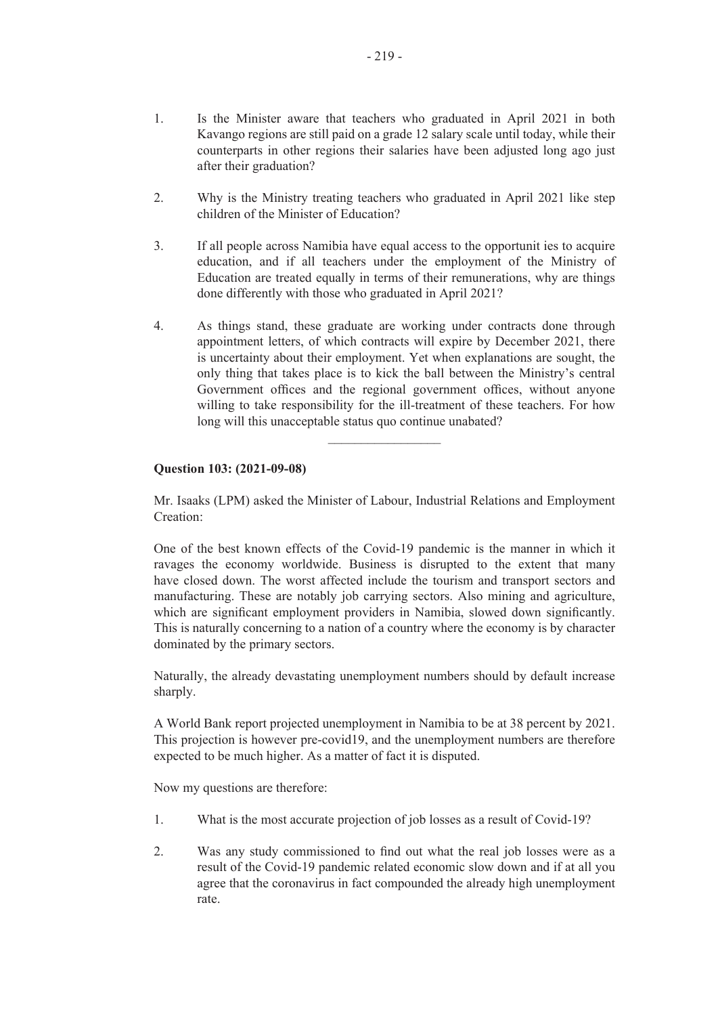- 1. Is the Minister aware that teachers who graduated in April 2021 in both Kavango regions are still paid on a grade 12 salary scale until today, while their counterparts in other regions their salaries have been adjusted long ago just after their graduation?
- 2. Why is the Ministry treating teachers who graduated in April 2021 like step children of the Minister of Education?
- 3. If all people across Namibia have equal access to the opportunit ies to acquire education, and if all teachers under the employment of the Ministry of Education are treated equally in terms of their remunerations, why are things done differently with those who graduated in April 2021?
- 4. As things stand, these graduate are working under contracts done through appointment letters, of which contracts will expire by December 2021, there is uncertainty about their employment. Yet when explanations are sought, the only thing that takes place is to kick the ball between the Ministry's central Government offices and the regional government offices, without anyone willing to take responsibility for the ill-treatment of these teachers. For how long will this unacceptable status quo continue unabated?

# **Question 103: (2021-09-08)**

Mr. Isaaks (LPM) asked the Minister of Labour, Industrial Relations and Employment Creation:

One of the best known effects of the Covid-19 pandemic is the manner in which it ravages the economy worldwide. Business is disrupted to the extent that many have closed down. The worst affected include the tourism and transport sectors and manufacturing. These are notably job carrying sectors. Also mining and agriculture, which are significant employment providers in Namibia, slowed down significantly. This is naturally concerning to a nation of a country where the economy is by character dominated by the primary sectors.

Naturally, the already devastating unemployment numbers should by default increase sharply.

A World Bank report projected unemployment in Namibia to be at 38 percent by 2021. This projection is however pre-covid19, and the unemployment numbers are therefore expected to be much higher. As a matter of fact it is disputed.

Now my questions are therefore:

- 1. What is the most accurate projection of job losses as a result of Covid-19?
- 2. Was any study commissioned to find out what the real job losses were as a result of the Covid-19 pandemic related economic slow down and if at all you agree that the coronavirus in fact compounded the already high unemployment rate.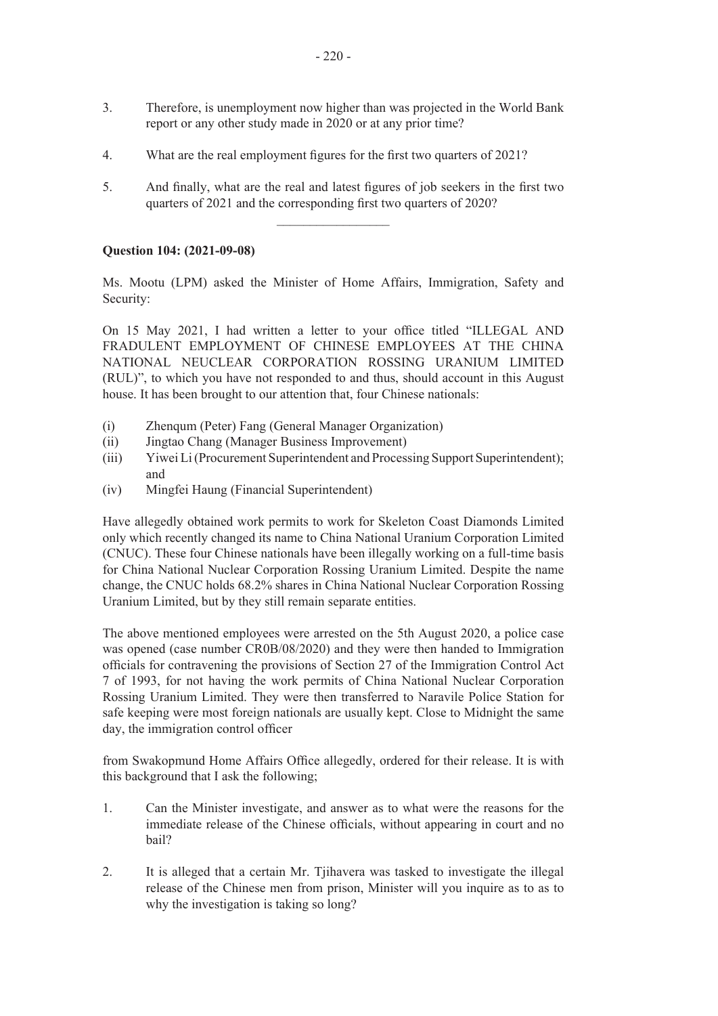- 3. Therefore, is unemployment now higher than was projected in the World Bank report or any other study made in 2020 or at any prior time?
- 4. What are the real employment figures for the first two quarters of 2021?
- 5. And finally, what are the real and latest figures of job seekers in the first two quarters of 2021 and the corresponding first two quarters of 2020?

### **Question 104: (2021-09-08)**

Ms. Mootu (LPM) asked the Minister of Home Affairs, Immigration, Safety and Security:

On 15 May 2021, I had written a letter to your office titled "ILLEGAL AND FRADULENT EMPLOYMENT OF CHINESE EMPLOYEES AT THE CHINA NATIONAL NEUCLEAR CORPORATION ROSSING URANIUM LIMITED (RUL)", to which you have not responded to and thus, should account in this August house. It has been brought to our attention that, four Chinese nationals:

- (i) Zhenqum (Peter) Fang (General Manager Organization)
- (ii) Jingtao Chang (Manager Business Improvement)
- (iii) Yiwei Li (Procurement Superintendent and Processing Support Superintendent); and
- (iv) Mingfei Haung (Financial Superintendent)

Have allegedly obtained work permits to work for Skeleton Coast Diamonds Limited only which recently changed its name to China National Uranium Corporation Limited (CNUC). These four Chinese nationals have been illegally working on a full-time basis for China National Nuclear Corporation Rossing Uranium Limited. Despite the name change, the CNUC holds 68.2% shares in China National Nuclear Corporation Rossing Uranium Limited, but by they still remain separate entities.

The above mentioned employees were arrested on the 5th August 2020, a police case was opened (case number CR0B/08/2020) and they were then handed to Immigration officials for contravening the provisions of Section 27 of the Immigration Control Act 7 of 1993, for not having the work permits of China National Nuclear Corporation Rossing Uranium Limited. They were then transferred to Naravile Police Station for safe keeping were most foreign nationals are usually kept. Close to Midnight the same day, the immigration control officer

from Swakopmund Home Affairs Office allegedly, ordered for their release. It is with this background that I ask the following;

- 1. Can the Minister investigate, and answer as to what were the reasons for the immediate release of the Chinese officials, without appearing in court and no bail?
- 2. It is alleged that a certain Mr. Tjihavera was tasked to investigate the illegal release of the Chinese men from prison, Minister will you inquire as to as to why the investigation is taking so long?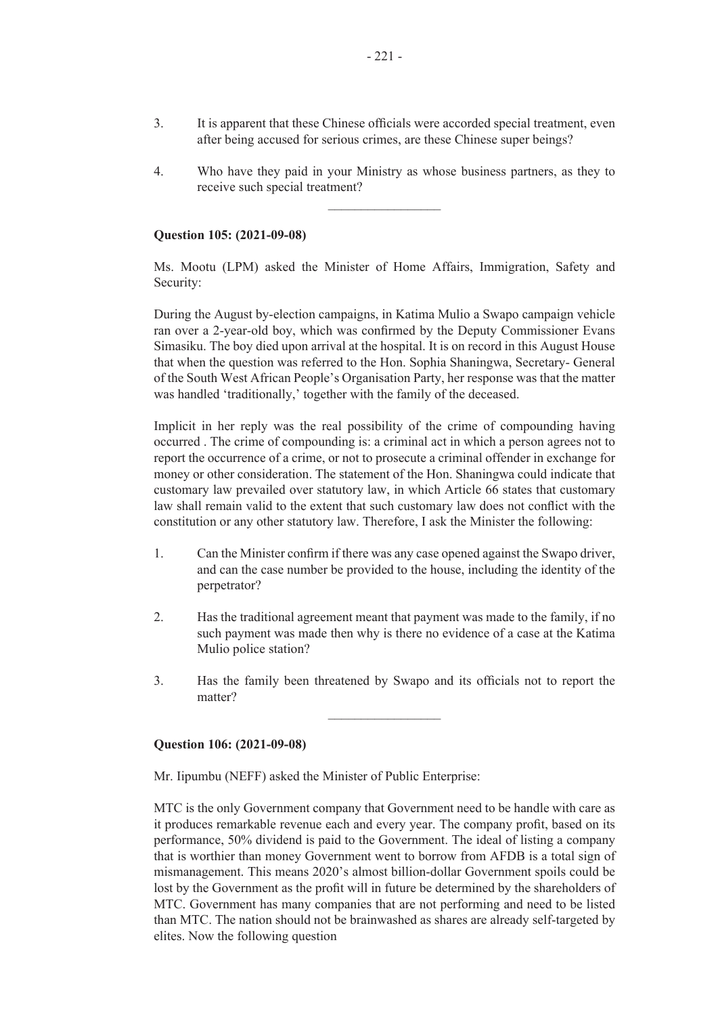- 3. It is apparent that these Chinese officials were accorded special treatment, even after being accused for serious crimes, are these Chinese super beings?
- 4. Who have they paid in your Ministry as whose business partners, as they to receive such special treatment?

#### **Question 105: (2021-09-08)**

Ms. Mootu (LPM) asked the Minister of Home Affairs, Immigration, Safety and Security:

During the August by-election campaigns, in Katima Mulio a Swapo campaign vehicle ran over a 2-year-old boy, which was confirmed by the Deputy Commissioner Evans Simasiku. The boy died upon arrival at the hospital. It is on record in this August House that when the question was referred to the Hon. Sophia Shaningwa, Secretary- General of the South West African People's Organisation Party, her response was that the matter was handled 'traditionally,' together with the family of the deceased.

Implicit in her reply was the real possibility of the crime of compounding having occurred . The crime of compounding is: a criminal act in which a person agrees not to report the occurrence of a crime, or not to prosecute a criminal offender in exchange for money or other consideration. The statement of the Hon. Shaningwa could indicate that customary law prevailed over statutory law, in which Article 66 states that customary law shall remain valid to the extent that such customary law does not conflict with the constitution or any other statutory law. Therefore, I ask the Minister the following:

- 1. Can the Minister confirm if there was any case opened against the Swapo driver, and can the case number be provided to the house, including the identity of the perpetrator?
- 2. Has the traditional agreement meant that payment was made to the family, if no such payment was made then why is there no evidence of a case at the Katima Mulio police station?
- 3. Has the family been threatened by Swapo and its officials not to report the matter?

 $\overline{\phantom{a}}$  , where  $\overline{\phantom{a}}$ 

#### **Question 106: (2021-09-08)**

Mr. Iipumbu (NEFF) asked the Minister of Public Enterprise:

MTC is the only Government company that Government need to be handle with care as it produces remarkable revenue each and every year. The company profit, based on its performance, 50% dividend is paid to the Government. The ideal of listing a company that is worthier than money Government went to borrow from AFDB is a total sign of mismanagement. This means 2020's almost billion-dollar Government spoils could be lost by the Government as the profit will in future be determined by the shareholders of MTC. Government has many companies that are not performing and need to be listed than MTC. The nation should not be brainwashed as shares are already self-targeted by elites. Now the following question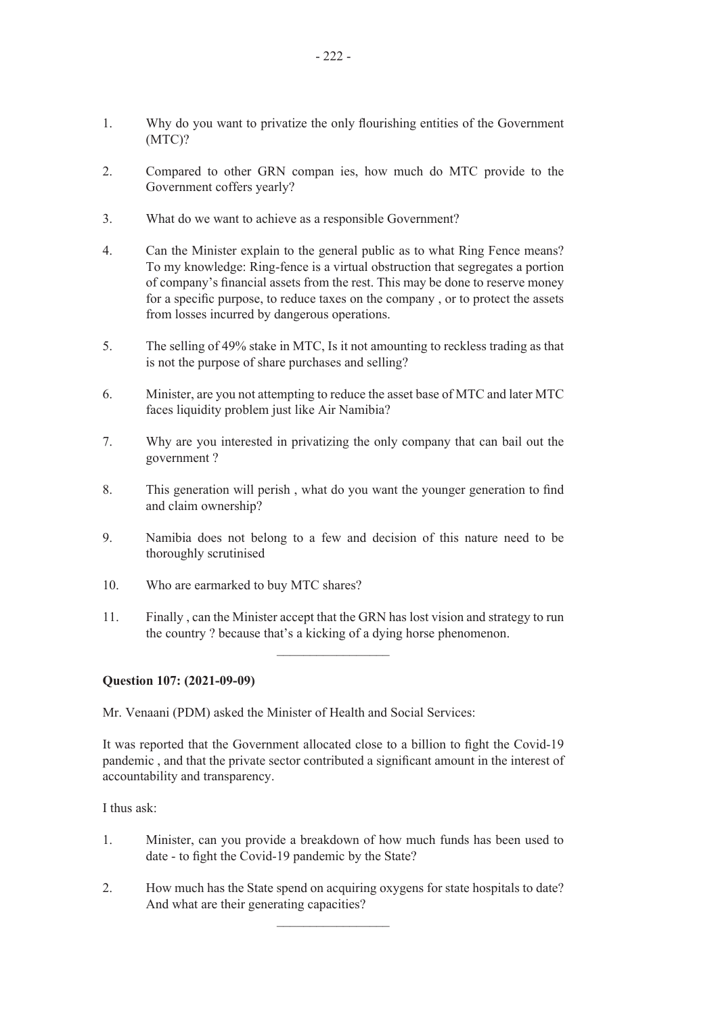- 1. Why do you want to privatize the only flourishing entities of the Government (MTC)?
- 2. Compared to other GRN compan ies, how much do MTC provide to the Government coffers yearly?
- 3. What do we want to achieve as a responsible Government?
- 4. Can the Minister explain to the general public as to what Ring Fence means? To my knowledge: Ring-fence is a virtual obstruction that segregates a portion of company's financial assets from the rest. This may be done to reserve money for a specific purpose, to reduce taxes on the company , or to protect the assets from losses incurred by dangerous operations.
- 5. The selling of 49% stake in MTC, Is it not amounting to reckless trading as that is not the purpose of share purchases and selling?
- 6. Minister, are you not attempting to reduce the asset base of MTC and later MTC faces liquidity problem just like Air Namibia?
- 7. Why are you interested in privatizing the only company that can bail out the government ?
- 8. This generation will perish , what do you want the younger generation to find and claim ownership?
- 9. Namibia does not belong to a few and decision of this nature need to be thoroughly scrutinised
- 10. Who are earmarked to buy MTC shares?
- 11. Finally , can the Minister accept that the GRN has lost vision and strategy to run the country ? because that's a kicking of a dying horse phenomenon.

#### **Question 107: (2021-09-09)**

Mr. Venaani (PDM) asked the Minister of Health and Social Services:

It was reported that the Government allocated close to a billion to fight the Covid-19 pandemic , and that the private sector contributed a significant amount in the interest of accountability and transparency.

I thus ask:

- 1. Minister, can you provide a breakdown of how much funds has been used to date - to fight the Covid-19 pandemic by the State?
- 2. How much has the State spend on acquiring oxygens for state hospitals to date? And what are their generating capacities?

 $\frac{1}{2}$  ,  $\frac{1}{2}$  ,  $\frac{1}{2}$  ,  $\frac{1}{2}$  ,  $\frac{1}{2}$  ,  $\frac{1}{2}$  ,  $\frac{1}{2}$  ,  $\frac{1}{2}$  ,  $\frac{1}{2}$  ,  $\frac{1}{2}$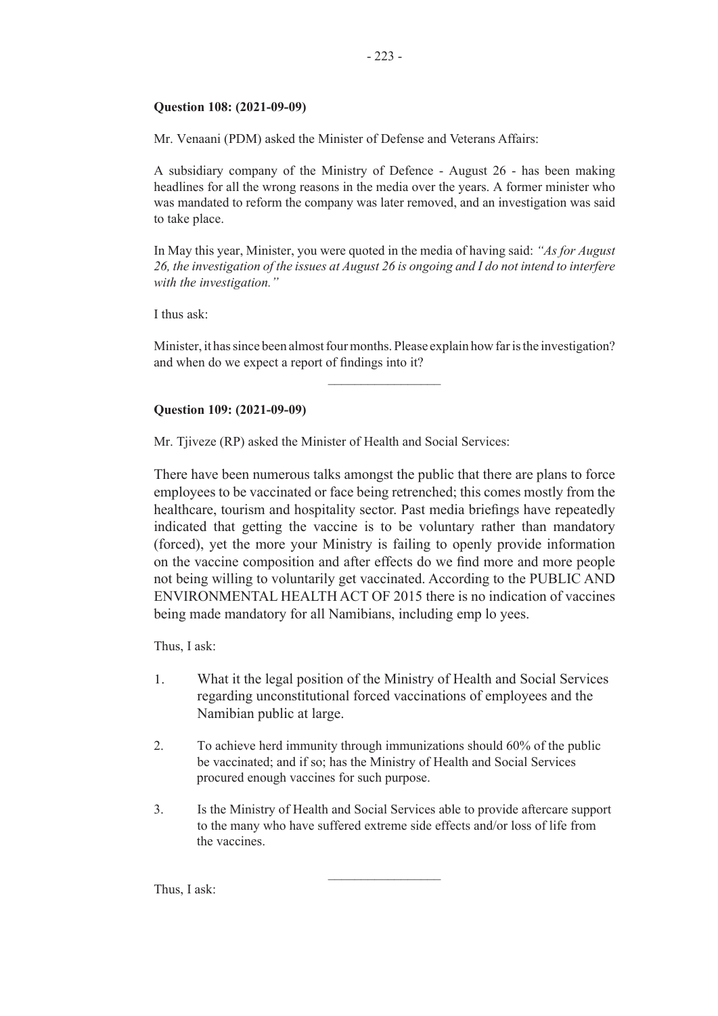# **Question 108: (2021-09-09)**

Mr. Venaani (PDM) asked the Minister of Defense and Veterans Affairs:

A subsidiary company of the Ministry of Defence - August 26 - has been making headlines for all the wrong reasons in the media over the years. A former minister who was mandated to reform the company was later removed, and an investigation was said to take place.

In May this year, Minister, you were quoted in the media of having said: *"As for August 26, the investigation of the issues at August 26 is ongoing and I do not intend to interfere with the investigation."*

I thus ask:

Minister, it has since been almost four months. Please explain how far is the investigation? and when do we expect a report of findings into it?

 $\overline{\phantom{a}}$  , where  $\overline{\phantom{a}}$ 

# **Question 109: (2021-09-09)**

Mr. Tjiveze (RP) asked the Minister of Health and Social Services:

There have been numerous talks amongst the public that there are plans to force employees to be vaccinated or face being retrenched; this comes mostly from the healthcare, tourism and hospitality sector. Past media briefings have repeatedly indicated that getting the vaccine is to be voluntary rather than mandatory (forced), yet the more your Ministry is failing to openly provide information on the vaccine composition and after effects do we find more and more people not being willing to voluntarily get vaccinated. According to the PUBLIC AND ENVIRONMENTAL HEALTH ACT OF 2015 there is no indication of vaccines being made mandatory for all Namibians, including emp lo yees.

Thus, I ask:

- 1. What it the legal position of the Ministry of Health and Social Services regarding unconstitutional forced vaccinations of employees and the Namibian public at large.
- 2. To achieve herd immunity through immunizations should 60% of the public be vaccinated; and if so; has the Ministry of Health and Social Services procured enough vaccines for such purpose.
- 3. Is the Ministry of Health and Social Services able to provide aftercare support to the many who have suffered extreme side effects and/or loss of life from the vaccines.

 $\overline{\phantom{a}}$  , where  $\overline{\phantom{a}}$ 

Thus, I ask: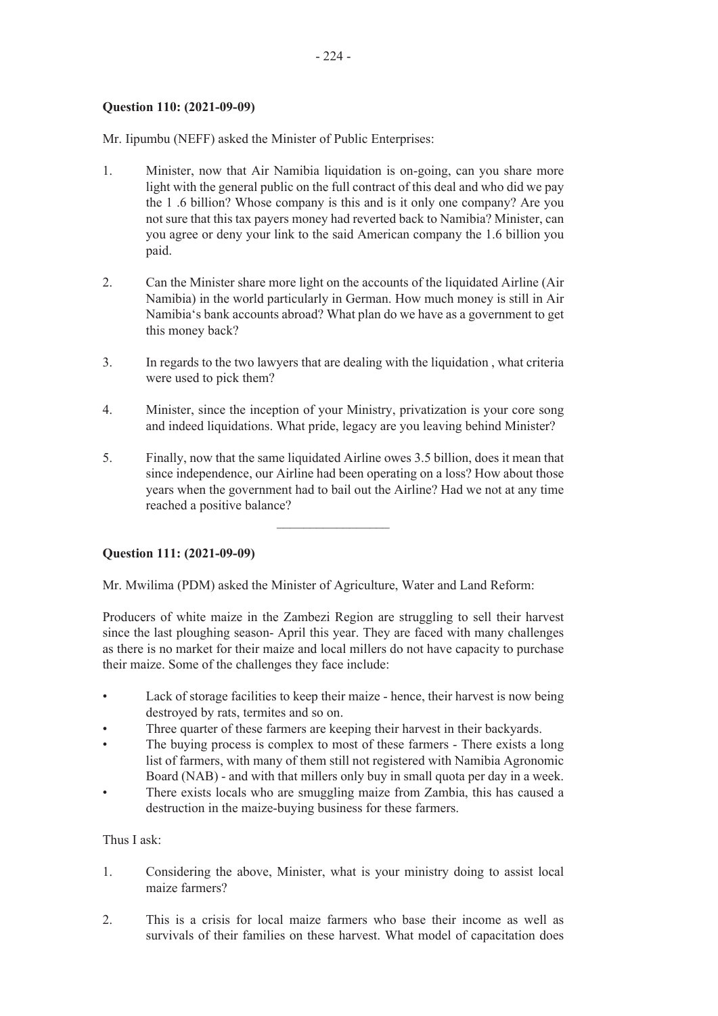# **Question 110: (2021-09-09)**

Mr. Iipumbu (NEFF) asked the Minister of Public Enterprises:

- 1. Minister, now that Air Namibia liquidation is on-going, can you share more light with the general public on the full contract of this deal and who did we pay the 1 .6 billion? Whose company is this and is it only one company? Are you not sure that this tax payers money had reverted back to Namibia? Minister, can you agree or deny your link to the said American company the 1.6 billion you paid.
- 2. Can the Minister share more light on the accounts of the liquidated Airline (Air Namibia) in the world particularly in German. How much money is still in Air Namibia's bank accounts abroad? What plan do we have as a government to get this money back?
- 3. In regards to the two lawyers that are dealing with the liquidation , what criteria were used to pick them?
- 4. Minister, since the inception of your Ministry, privatization is your core song and indeed liquidations. What pride, legacy are you leaving behind Minister?
- 5. Finally, now that the same liquidated Airline owes 3.5 billion, does it mean that since independence, our Airline had been operating on a loss? How about those years when the government had to bail out the Airline? Had we not at any time reached a positive balance?

 $\frac{1}{2}$  ,  $\frac{1}{2}$  ,  $\frac{1}{2}$  ,  $\frac{1}{2}$  ,  $\frac{1}{2}$  ,  $\frac{1}{2}$  ,  $\frac{1}{2}$  ,  $\frac{1}{2}$  ,  $\frac{1}{2}$  ,  $\frac{1}{2}$ 

# **Question 111: (2021-09-09)**

Mr. Mwilima (PDM) asked the Minister of Agriculture, Water and Land Reform:

Producers of white maize in the Zambezi Region are struggling to sell their harvest since the last ploughing season- April this year. They are faced with many challenges as there is no market for their maize and local millers do not have capacity to purchase their maize. Some of the challenges they face include:

- Lack of storage facilities to keep their maize hence, their harvest is now being destroyed by rats, termites and so on.
- Three quarter of these farmers are keeping their harvest in their backyards.
- The buying process is complex to most of these farmers There exists a long list of farmers, with many of them still not registered with Namibia Agronomic Board (NAB) - and with that millers only buy in small quota per day in a week.
- There exists locals who are smuggling maize from Zambia, this has caused a destruction in the maize-buying business for these farmers.

# Thus I ask:

- 1. Considering the above, Minister, what is your ministry doing to assist local maize farmers?
- 2. This is a crisis for local maize farmers who base their income as well as survivals of their families on these harvest. What model of capacitation does